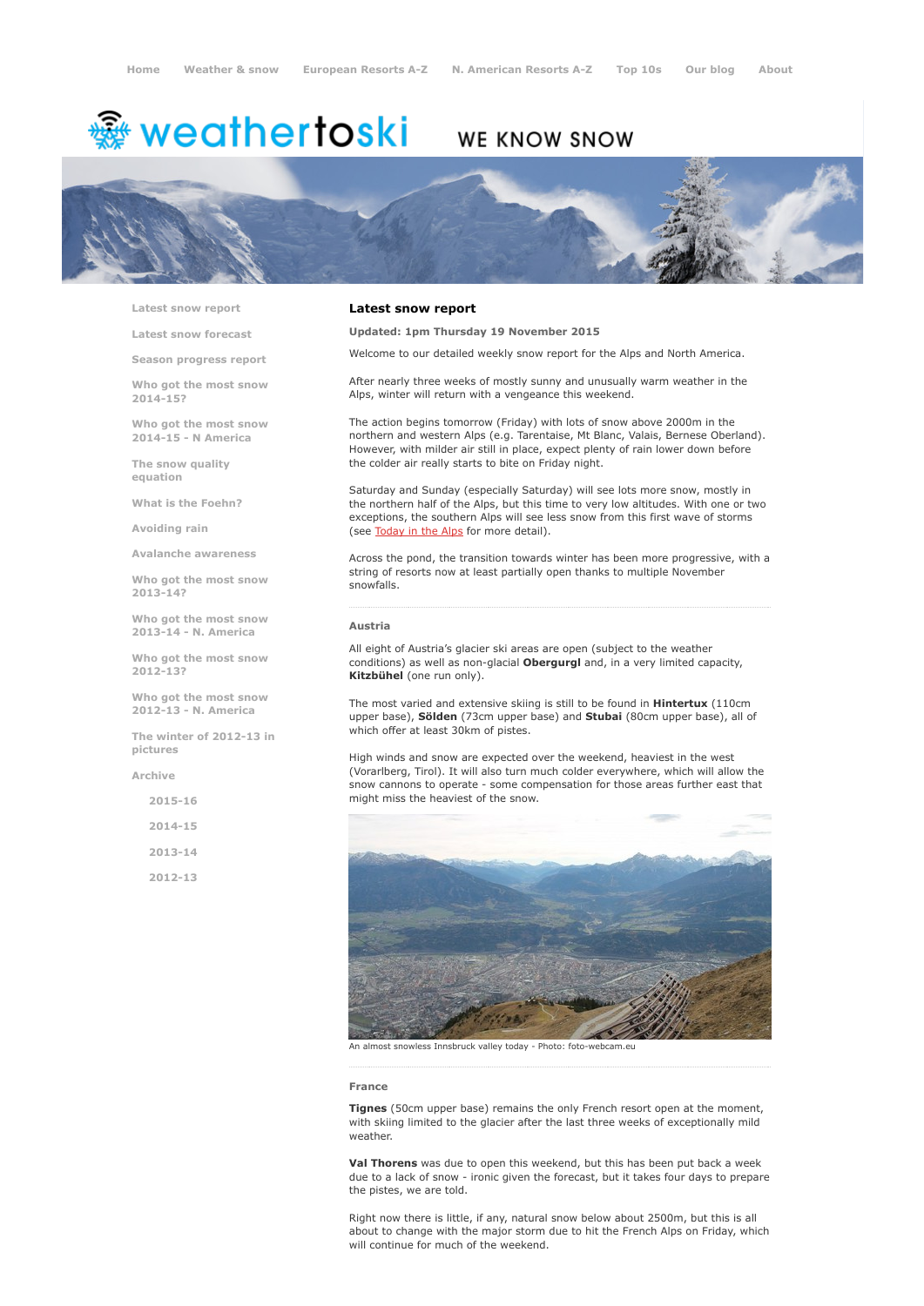# <sup>霧</sup> weathertoski

# WE KNOW SNOW



Latest snow [report](http://www.weathertoski.co.uk/weather-snow/latest-snow-report/)

Latest snow [forecast](http://www.weathertoski.co.uk/weather-snow/latest-snow-forecast/)

Season [progress](http://www.weathertoski.co.uk/weather-snow/season-progress-report/) report

Who got the most snow 2014-15?

Who got the most snow 2014-15 - N America

The snow quality [equation](http://www.weathertoski.co.uk/weather-snow/the-snow-quality-equation/)

What is the [Foehn?](http://www.weathertoski.co.uk/weather-snow/what-is-the-foehn/)

[Avoiding](http://www.weathertoski.co.uk/weather-snow/avoiding-rain/) rain

Avalanche [awareness](http://www.weathertoski.co.uk/weather-snow/avalanche-awareness/)

Who got the most snow 2013-14?

Who got the most snow 2013-14 - N. America

Who got the most snow 2012-13?

Who got the most snow 2012-13 - N. America

The winter of 2012-13 in pictures

[Archive](http://www.weathertoski.co.uk/weather-snow/archive/)

2015-16

2014-15

2013-14

2012-13

# Latest snow report

Updated: 1pm Thursday 19 November 2015

Welcome to our detailed weekly snow report for the Alps and North America.

After nearly three weeks of mostly sunny and unusually warm weather in the Alps, winter will return with a vengeance this weekend.

The action begins tomorrow (Friday) with lots of snow above 2000m in the northern and western Alps (e.g. Tarentaise, Mt Blanc, Valais, Bernese Oberland). However, with milder air still in place, expect plenty of rain lower down before the colder air really starts to bite on Friday night.

Saturday and Sunday (especially Saturday) will see lots more snow, mostly in the northern half of the Alps, but this time to very low altitudes. With one or two exceptions, the southern Alps will see less snow from this first wave of storms (see [Today](http://www.weathertoski.co.uk/weather-snow/) in the Alps for more detail).

Across the pond, the transition towards winter has been more progressive, with a string of resorts now at least partially open thanks to multiple November snowfalls.

# Austria

All eight of Austria's glacier ski areas are open (subject to the weather conditions) as well as non-glacial **Obergurgl** and, in a very limited capacity, Kitzbühel (one run only).

The most varied and extensive skiing is still to be found in **Hintertux** (110cm) upper base), Sölden (73cm upper base) and Stubai (80cm upper base), all of which offer at least 30km of pistes.

High winds and snow are expected over the weekend, heaviest in the west (Vorarlberg, Tirol). It will also turn much colder everywhere, which will allow the snow cannons to operate - some compensation for those areas further east that might miss the heaviest of the snow.



An almost snowless Innsbruck valley today - Photo: foto-webcam.eu

#### France

Tignes (50cm upper base) remains the only French resort open at the moment, with skiing limited to the glacier after the last three weeks of exceptionally mild weather.

Val Thorens was due to open this weekend, but this has been put back a week due to a lack of snow - ironic given the forecast, but it takes four days to prepare the pistes, we are told.

Right now there is little, if any, natural snow below about 2500m, but this is all about to change with the major storm due to hit the French Alps on Friday, which will continue for much of the weekend.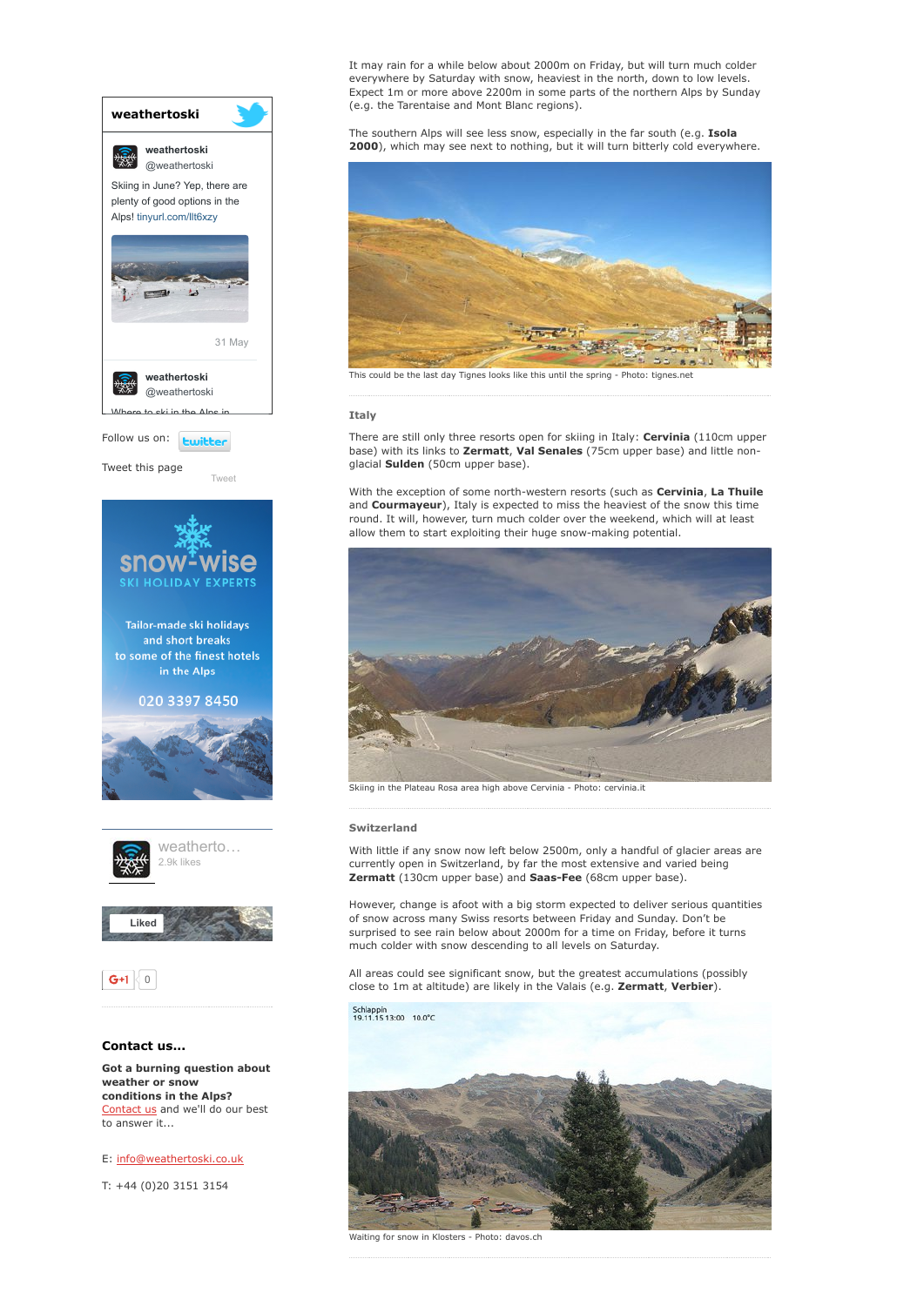

conditions in the Alps? [Contact](http://www.weathertoski.co.uk/about-1/contact-us/) us and we'll do our best to answer it...

E: [info@weathertoski.co.uk](mailto:fraser@weathertoski.co.uk)

T: +44 (0)20 3151 3154

It may rain for a while below about 2000m on Friday, but will turn much colder everywhere by Saturday with snow, heaviest in the north, down to low levels. Expect 1m or more above 2200m in some parts of the northern Alps by Sunday (e.g. the Tarentaise and Mont Blanc regions).

The southern Alps will see less snow, especially in the far south (e.g. Isola 2000), which may see next to nothing, but it will turn bitterly cold everywhere.



This could be the last day Tignes looks like this until the spring - Photo: tignes.net

# **Italy**

There are still only three resorts open for skiing in Italy: Cervinia (110cm upper base) with its links to Zermatt, Val Senales (75cm upper base) and little nonglacial Sulden (50cm upper base).

With the exception of some north-western resorts (such as Cervinia, La Thuile and Courmayeur), Italy is expected to miss the heaviest of the snow this time round. It will, however, turn much colder over the weekend, which will at least allow them to start exploiting their huge snow-making potential.



Skiing in the Plateau Rosa area high above Cervinia - Photo: cervinia.it

# Switzerland

With little if any snow now left below 2500m, only a handful of glacier areas are currently open in Switzerland, by far the most extensive and varied being Zermatt (130cm upper base) and Saas-Fee (68cm upper base).

However, change is afoot with a big storm expected to deliver serious quantities of snow across many Swiss resorts between Friday and Sunday. Don't be surprised to see rain below about 2000m for a time on Friday, before it turns much colder with snow descending to all levels on Saturday.

All areas could see significant snow, but the greatest accumulations (possibly close to 1m at altitude) are likely in the Valais (e.g. Zermatt, Verbier).

Schlappin<br>19.11.15 13:00 10.0°C



Waiting for snow in Klosters - Photo: davos.ch